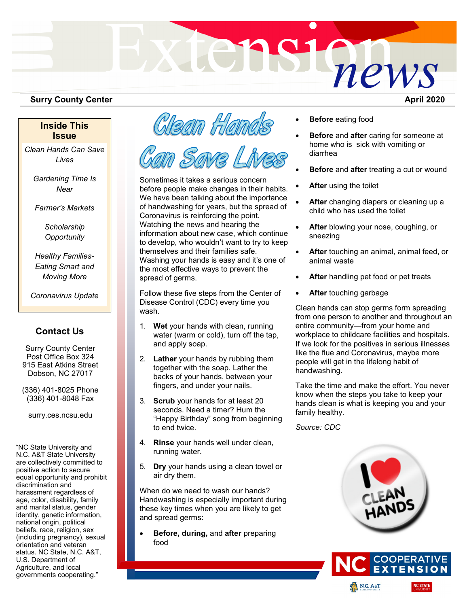# Extension*news*

# **Surry County Center**

**Inside This Issue**

*Clean Hands Can Save Lives*

*Gardening Time Is Near*

*Farmer's Markets*

*Scholarship Opportunity*

*Healthy Families-Eating Smart and Moving More*

*Coronavirus Update*

# **Contact Us**

Surry County Center Post Office Box 324 915 East Atkins Street Dobson, NC 27017

(336) 401-8025 Phone (336) 401-8048 Fax

surry.ces.ncsu.edu

"NC State University and N.C. A&T State University are collectively committed to positive action to secure equal opportunity and prohibit discrimination and harassment regardless of age, color, disability, family and marital status, gender identity, genetic information, national origin, political beliefs, race, religion, sex (including pregnancy), sexual orientation and veteran status. NC State, N.C. A&T, U.S. Department of Agriculture, and local governments cooperating."



Sometimes it takes a serious concern before people make changes in their habits. We have been talking about the importance of handwashing for years, but the spread of Coronavirus is reinforcing the point. Watching the news and hearing the information about new case, which continue to develop, who wouldn't want to try to keep themselves and their families safe. Washing your hands is easy and it's one of the most effective ways to prevent the spread of germs.

Follow these five steps from the Center of Disease Control (CDC) every time you wash.

- 1. **Wet** your hands with clean, running water (warm or cold), turn off the tap, and apply soap.
- 2. **Lather** your hands by rubbing them together with the soap. Lather the backs of your hands, between your fingers, and under your nails.
- 3. **Scrub** your hands for at least 20 seconds. Need a timer? Hum the "Happy Birthday" song from beginning to end twice.
- 4. **Rinse** your hands well under clean, running water.
- 5. **Dry** your hands using a clean towel or air dry them.

When do we need to wash our hands? Handwashing is especially important during these key times when you are likely to get and spread germs:

• **Before, during,** and **after** preparing food

- **Before** eating food
- **Before** and **after** caring for someone at home who is sick with vomiting or diarrhea

**April 2020**

- **Before** and **after** treating a cut or wound
- **After** using the toilet
- **After** changing diapers or cleaning up a child who has used the toilet
- **After** blowing your nose, coughing, or sneezing
- **After** touching an animal, animal feed, or animal waste
- **After** handling pet food or pet treats
- **After** touching garbage

Clean hands can stop germs form spreading from one person to another and throughout an entire community—from your home and workplace to childcare facilities and hospitals. If we look for the positives in serious illnesses like the flue and Coronavirus, maybe more people will get in the lifelong habit of handwashing.

Take the time and make the effort. You never know when the steps you take to keep your hands clean is what is keeping you and your family healthy.

*Source: CDC*



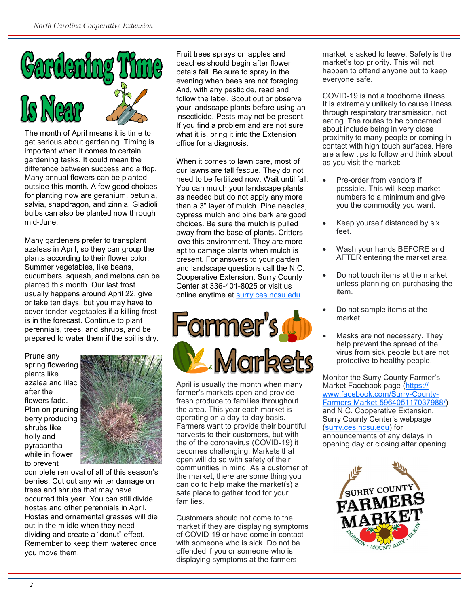

The month of April means it is time to get serious about gardening. Timing is important when it comes to certain gardening tasks. It could mean the difference between success and a flop. Many annual flowers can be planted outside this month. A few good choices for planting now are geranium, petunia, salvia, snapdragon, and zinnia. Gladioli bulbs can also be planted now through mid-June.

Many gardeners prefer to transplant azaleas in April, so they can group the plants according to their flower color. Summer vegetables, like beans, cucumbers, squash, and melons can be planted this month. Our last frost usually happens around April 22, give or take ten days, but you may have to cover tender vegetables if a killing frost is in the forecast. Continue to plant perennials, trees, and shrubs, and be prepared to water them if the soil is dry.

Prune any spring flowering plants like azalea and lilac after the flowers fade. Plan on pruning berry producing shrubs like holly and pyracantha while in flower to prevent



complete removal of all of this season's berries. Cut out any winter damage on trees and shrubs that may have occurred this year. You can still divide hostas and other perennials in April. Hostas and ornamental grasses will die out in the m idle when they need dividing and create a "donut" effect. Remember to keep them watered once you move them.

Fruit trees sprays on apples and peaches should begin after flower petals fall. Be sure to spray in the evening when bees are not foraging. And, with any pesticide, read and follow the label. Scout out or observe your landscape plants before using an insecticide. Pests may not be present. If you find a problem and are not sure what it is, bring it into the Extension office for a diagnosis.

When it comes to lawn care, most of our lawns are tall fescue. They do not need to be fertilized now. Wait until fall. You can mulch your landscape plants as needed but do not apply any more than a 3" layer of mulch. Pine needles, cypress mulch and pine bark are good choices. Be sure the mulch is pulled away from the base of plants. Critters love this environment. They are more apt to damage plants when mulch is present. For answers to your garden and landscape questions call the N.C. Cooperative Extension, Surry County Center at 336-401-8025 or visit us online anytime at [surry.ces.ncsu.edu.](surry.ces.ncsu.edu)



April is usually the month when many farmer's markets open and provide fresh produce to families throughout the area. This year each market is operating on a day-to-day basis. Farmers want to provide their bountiful harvests to their customers, but with the of the coronavirus (COVID-19) it becomes challenging. Markets that open will do so with safety of their communities in mind. As a customer of the market, there are some thing you can do to help make the market(s) a safe place to gather food for your families.

Customers should not come to the market if they are displaying symptoms of COVID-19 or have come in contact with someone who is sick. Do not be offended if you or someone who is displaying symptoms at the farmers

market is asked to leave. Safety is the market's top priority. This will not happen to offend anyone but to keep everyone safe.

COVID-19 is not a foodborne illness. It is extremely unlikely to cause illness through respiratory transmission, not eating. The routes to be concerned about include being in very close proximity to many people or coming in contact with high touch surfaces. Here are a few tips to follow and think about as you visit the market:

- Pre-order from vendors if possible. This will keep market numbers to a minimum and give you the commodity you want.
- Keep yourself distanced by six feet.
- Wash your hands BEFORE and AFTER entering the market area.
- Do not touch items at the market unless planning on purchasing the item.
- Do not sample items at the market.
- Masks are not necessary. They help prevent the spread of the virus from sick people but are not protective to healthy people.

Monitor the Surry County Farmer's Market Facebook page ([https://](https://www.facebook.com/Surry-County-Farmers-Market-596405117037988/) [www.facebook.com/Surry](https://www.facebook.com/Surry-County-Farmers-Market-596405117037988/)-County-Farmers-Market-[596405117037988/\)](https://www.facebook.com/Surry-County-Farmers-Market-596405117037988/) and N.C. Cooperative Extension, Surry County Center's webpage ([surry.ces.ncsu.edu\)](surry.ces.ncsu.edu) for announcements of any delays in opening day or closing after opening.

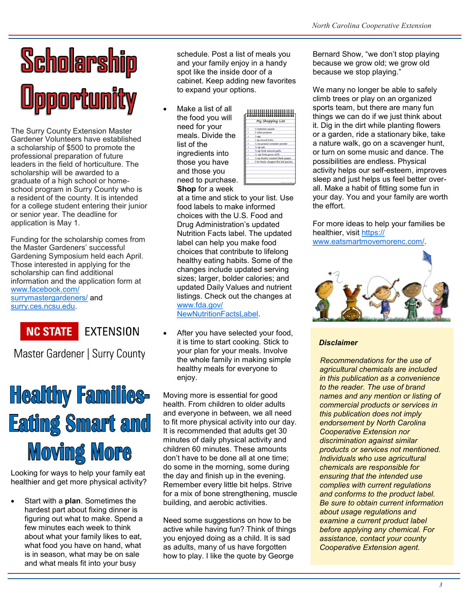

The Surry County Extension Master Gardener Volunteers have established a scholarship of \$500 to promote the professional preparation of future leaders in the field of horticulture. The scholarship will be awarded to a graduate of a high school or homeschool program in Surry County who is a resident of the county. It is intended for a college student entering their junior or senior year. The deadline for application is May 1.

Funding for the scholarship comes from the Master Gardeners' successful Gardening Symposium held each April. Those interested in applying for the scholarship can find additional information and the application form at [www.facebook.com/](http://www.facebook.com/surrymastergardeners/) [surrymastergardeners/](http://www.facebook.com/surrymastergardeners/) and [surry.ces.ncsu.edu.](surry.ces.ncsu.edu)



Master Gardener | Surry County

# **Healthy Families-Eating Smart and Moving More**

Looking for ways to help your family eat healthier and get more physical activity?

• Start with a **plan**. Sometimes the hardest part about fixing dinner is figuring out what to make. Spend a few minutes each week to think about what your family likes to eat, what food you have on hand, what is in season, what may be on sale and what meals fit into your busy

schedule. Post a list of meals you and your family enjoy in a handy spot like the inside door of a cabinet. Keep adding new favorites to expand your options.

Make a list of all the food you will need for your meals. Divide the list of the ingredients into those you have and those you need to purchase. **Shop** for a week

| My Shopping List |                                        |
|------------------|----------------------------------------|
|                  | 1/2 butternut squash                   |
|                  | 3 white potatoes                       |
|                  | l egg                                  |
|                  | 1 tsp mixed herbs                      |
|                  | 1/2 tsp ground coriander powder        |
|                  | % tsp salt                             |
|                  | % tsp fresh minced garlic              |
|                  | 1/2 tsp fresh green chilli             |
|                  | 1/4 tsp freshly cracked black pepper   |
|                  | 3 tbs finely chopped flat leaf parsley |

at a time and stick to your list. Use food labels to make informed choices with the U.S. Food and Drug Administration's updated Nutrition Facts label. The updated label can help you make food choices that contribute to lifelong healthy eating habits. Some of the changes include updated serving sizes; larger, bolder calories; and updated Daily Values and nutrient listings. Check out the changes at [www.fda.gov/](http://www.fda.gov/NewNutritionFactsLabel) [NewNutritionFactsLabel.](http://www.fda.gov/NewNutritionFactsLabel)

After you have selected your food, it is time to start cooking. Stick to your plan for your meals. Involve the whole family in making simple healthy meals for everyone to enjoy.

Moving more is essential for good health. From children to older adults and everyone in between, we all need to fit more physical activity into our day. It is recommended that adults get 30 minutes of daily physical activity and children 60 minutes. These amounts don't have to be done all at one time; do some in the morning, some during the day and finish up in the evening. Remember every little bit helps. Strive for a mix of bone strengthening, muscle building, and aerobic activities.

Need some suggestions on how to be active while having fun? Think of things you enjoyed doing as a child. It is sad as adults, many of us have forgotten how to play. I like the quote by George

Bernard Show, "we don't stop playing because we grow old; we grow old because we stop playing."

We many no longer be able to safely climb trees or play on an organized sports team, but there are many fun things we can do if we just think about it. Dig in the dirt while planting flowers or a garden, ride a stationary bike, take a nature walk, go on a scavenger hunt, or turn on some music and dance. The possibilities are endless. Physical activity helps our self-esteem, improves sleep and just helps us feel better overall. Make a habit of fitting some fun in your day. You and your family are worth the effort.

For more ideas to help your families be healthier, visit [https://](https://www.eatsmartmovemorenc.com/) [www.eatsmartmovemorenc.com/.](https://www.eatsmartmovemorenc.com/)



# *Disclaimer*

 *Recommendations for the use of agricultural chemicals are included in this publication as a convenience to the reader. The use of brand names and any mention or listing of commercial products or services in this publication does not imply endorsement by North Carolina Cooperative Extension nor discrimination against similar products or services not mentioned. Individuals who use agricultural chemicals are responsible for ensuring that the intended use complies with current regulations and conforms to the product label. Be sure to obtain current information about usage regulations and examine a current product label before applying any chemical. For assistance, contact your county Cooperative Extension agent.*